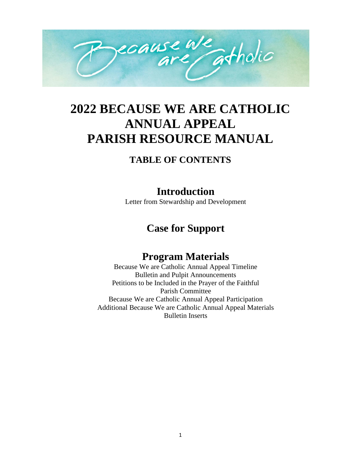

# **2022 BECAUSE WE ARE CATHOLIC ANNUAL APPEAL PARISH RESOURCE MANUAL**

# **TABLE OF CONTENTS**

# **Introduction**

Letter from Stewardship and Development

# **Case for Support**

# **Program Materials**

Because We are Catholic Annual Appeal Timeline Bulletin and Pulpit Announcements Petitions to be Included in the Prayer of the Faithful Parish Committee Because We are Catholic Annual Appeal Participation Additional Because We are Catholic Annual Appeal Materials Bulletin Inserts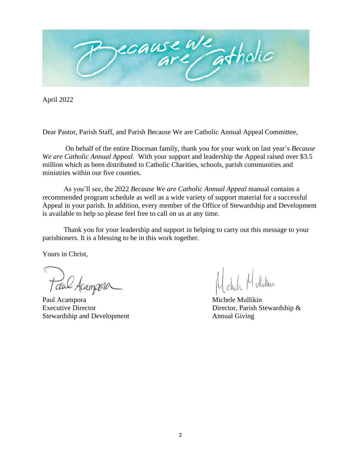

April 2022

Dear Pastor, Parish Staff, and Parish Because We are Catholic Annual Appeal Committee,

On behalf of the entire Diocesan family, thank you for your work on last year's *Because We are Catholic Annual Appeal*. With your support and leadership the Appeal raised over \$3.5 million which as been distributed to Catholic Charities, schools, parish communities and ministries within our five counties.

As you'll see, the 2022 *Because We are Catholic Annual Appeal* manual contains a recommended program schedule as well as a wide variety of support material for a successful Appeal in your parish. In addition, every member of the Office of Stewardship and Development is available to help so please feel free to call on us at any time.

Thank you for your leadership and support in helping to carry out this message to your parishioners. It is a blessing to be in this work together.

Yours in Christ,

Taul Acampora

Paul Acampora Michele Mullikin Stewardship and Development Annual Giving

Executive Director Director Director, Parish Stewardship &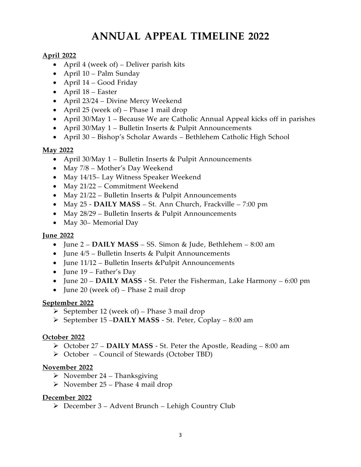# **ANNUAL APPEAL TIMELINE 2022**

### **April 2022**

- April 4 (week of) Deliver parish kits
- April 10 Palm Sunday
- April 14 Good Friday
- April 18 Easter
- April 23/24 Divine Mercy Weekend
- April 25 (week of) Phase 1 mail drop
- April 30/May 1 Because We are Catholic Annual Appeal kicks off in parishes
- April 30/May 1 Bulletin Inserts & Pulpit Announcements
- April 30 Bishop's Scholar Awards Bethlehem Catholic High School

### **May 2022**

- April 30/May 1 Bulletin Inserts & Pulpit Announcements
- May 7/8 Mother's Day Weekend
- May 14/15– Lay Witness Speaker Weekend
- May 21/22 Commitment Weekend
- May 21/22 Bulletin Inserts & Pulpit Announcements
- May 25 **DAILY MASS** St. Ann Church, Frackville 7:00 pm
- May 28/29 Bulletin Inserts & Pulpit Announcements
- May 30– Memorial Day

#### **June 2022**

- June 2 **DAILY MASS** SS. Simon & Jude, Bethlehem 8:00 am
- June  $4/5$  Bulletin Inserts & Pulpit Announcements
- June 11/12 Bulletin Inserts &Pulpit Announcements
- June 19 Father's Day
- June 20 **DAILY MASS** St. Peter the Fisherman, Lake Harmony 6:00 pm
- June 20 (week of) Phase 2 mail drop

#### **September 2022**

- ➢ September 12 (week of) Phase 3 mail drop
- ➢ September 15 –**DAILY MASS** St. Peter, Coplay 8:00 am

#### **October 2022**

- ➢ October 27 **DAILY MASS** St. Peter the Apostle, Reading 8:00 am
- ➢ October Council of Stewards (October TBD)

#### **November 2022**

- $\triangleright$  November 24 Thanksgiving
- ➢ November 25 Phase 4 mail drop

#### **December 2022**

➢ December 3 – Advent Brunch – Lehigh Country Club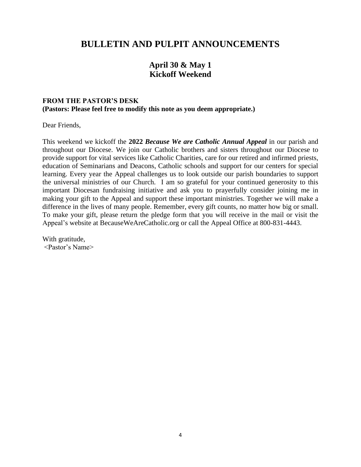## **BULLETIN AND PULPIT ANNOUNCEMENTS**

## **April 30 & May 1 Kickoff Weekend**

#### **FROM THE PASTOR'S DESK (Pastors: Please feel free to modify this note as you deem appropriate.)**

Dear Friends,

This weekend we kickoff the **2022** *Because We are Catholic Annual Appeal* in our parish and throughout our Diocese. We join our Catholic brothers and sisters throughout our Diocese to provide support for vital services like Catholic Charities, care for our retired and infirmed priests, education of Seminarians and Deacons, Catholic schools and support for our centers for special learning. Every year the Appeal challenges us to look outside our parish boundaries to support the universal ministries of our Church. I am so grateful for your continued generosity to this important Diocesan fundraising initiative and ask you to prayerfully consider joining me in making your gift to the Appeal and support these important ministries. Together we will make a difference in the lives of many people. Remember, every gift counts, no matter how big or small. To make your gift, please return the pledge form that you will receive in the mail or visit the Appeal's website at BecauseWeAreCatholic.org or call the Appeal Office at 800-831-4443.

With gratitude, <Pastor's Name>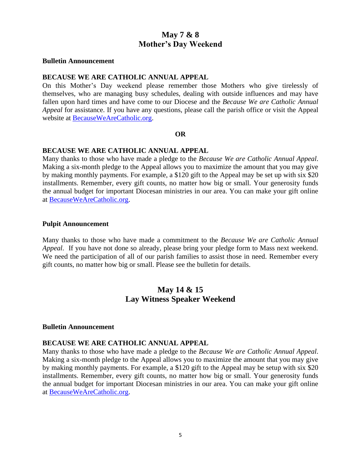## **May 7 & 8 Mother's Day Weekend**

#### **Bulletin Announcement**

#### **BECAUSE WE ARE CATHOLIC ANNUAL APPEAL**

On this Mother's Day weekend please remember those Mothers who give tirelessly of themselves, who are managing busy schedules, dealing with outside influences and may have fallen upon hard times and have come to our Diocese and the *Because We are Catholic Annual Appeal* for assistance. If you have any questions, please call the parish office or visit the Appeal website at [BecauseWeAreCatholic.org.](http://www.2015baa.org/)

#### **OR**

#### **BECAUSE WE ARE CATHOLIC ANNUAL APPEAL**

Many thanks to those who have made a pledge to the *Because We are Catholic Annual Appeal*. Making a six-month pledge to the Appeal allows you to maximize the amount that you may give by making monthly payments. For example, a \$120 gift to the Appeal may be set up with six \$20 installments. Remember, every gift counts, no matter how big or small. Your generosity funds the annual budget for important Diocesan ministries in our area. You can make your gift online at [BecauseWeAreCatholic.org.](http://www.2015baa.org/)

#### **Pulpit Announcement**

Many thanks to those who have made a commitment to the *Because We are Catholic Annual Appeal*. If you have not done so already, please bring your pledge form to Mass next weekend. We need the participation of all of our parish families to assist those in need. Remember every gift counts, no matter how big or small. Please see the bulletin for details.

## **May 14 & 15 Lay Witness Speaker Weekend**

#### **Bulletin Announcement**

#### **BECAUSE WE ARE CATHOLIC ANNUAL APPEAL**

Many thanks to those who have made a pledge to the *Because We are Catholic Annual Appeal*. Making a six-month pledge to the Appeal allows you to maximize the amount that you may give by making monthly payments. For example, a \$120 gift to the Appeal may be setup with six \$20 installments. Remember, every gift counts, no matter how big or small. Your generosity funds the annual budget for important Diocesan ministries in our area. You can make your gift online at [BecauseWeAreCatholic.org.](http://www.2015baa.org/)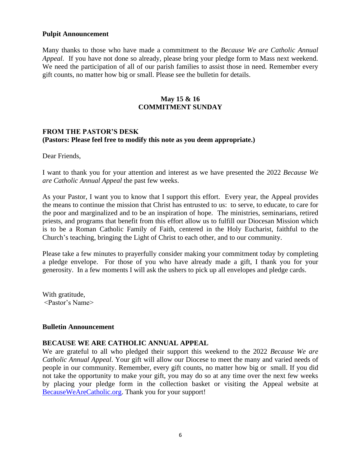#### **Pulpit Announcement**

Many thanks to those who have made a commitment to the *Because We are Catholic Annual Appeal*. If you have not done so already, please bring your pledge form to Mass next weekend. We need the participation of all of our parish families to assist those in need. Remember every gift counts, no matter how big or small. Please see the bulletin for details.

#### **May 15 & 16 COMMITMENT SUNDAY**

#### **FROM THE PASTOR'S DESK (Pastors: Please feel free to modify this note as you deem appropriate.)**

Dear Friends,

I want to thank you for your attention and interest as we have presented the 2022 *Because We are Catholic Annual Appeal* the past few weeks.

As your Pastor, I want you to know that I support this effort. Every year, the Appeal provides the means to continue the mission that Christ has entrusted to us: to serve, to educate, to care for the poor and marginalized and to be an inspiration of hope. The ministries, seminarians, retired priests, and programs that benefit from this effort allow us to fulfill our Diocesan Mission which is to be a Roman Catholic Family of Faith, centered in the Holy Eucharist, faithful to the Church's teaching, bringing the Light of Christ to each other, and to our community.

Please take a few minutes to prayerfully consider making your commitment today by completing a pledge envelope. For those of you who have already made a gift, I thank you for your generosity. In a few moments I will ask the ushers to pick up all envelopes and pledge cards.

With gratitude, <Pastor's Name>

#### **Bulletin Announcement**

#### **BECAUSE WE ARE CATHOLIC ANNUAL APPEAL**

We are grateful to all who pledged their support this weekend to the 2022 *Because We are Catholic Annual Appeal*. Your gift will allow our Diocese to meet the many and varied needs of people in our community. Remember, every gift counts, no matter how big or small. If you did not take the opportunity to make your gift, you may do so at any time over the next few weeks by placing your pledge form in the collection basket or visiting the Appeal website at [BecauseWeAreCatholic.org.](http://www.2015baa.org/) Thank you for your support!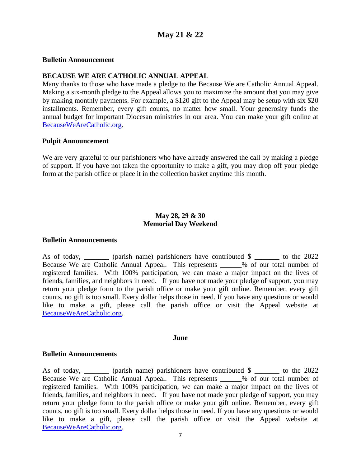## **May 21 & 22**

#### **Bulletin Announcement**

#### **BECAUSE WE ARE CATHOLIC ANNUAL APPEAL**

Many thanks to those who have made a pledge to the Because We are Catholic Annual Appeal. Making a six-month pledge to the Appeal allows you to maximize the amount that you may give by making monthly payments. For example, a \$120 gift to the Appeal may be setup with six \$20 installments. Remember, every gift counts, no matter how small. Your generosity funds the annual budget for important Diocesan ministries in our area. You can make your gift online at [BecauseWeAreCatholic.org.](http://www.2015baa.org/)

#### **Pulpit Announcement**

We are very grateful to our parishioners who have already answered the call by making a pledge of support. If you have not taken the opportunity to make a gift, you may drop off your pledge form at the parish office or place it in the collection basket anytime this month.

#### **May 28, 29 & 30 Memorial Day Weekend**

#### **Bulletin Announcements**

As of today, (parish name) parishioners have contributed \$  $\qquad$  to the 2022 Because We are Catholic Annual Appeal. This represents \_\_\_\_\_\_% of our total number of registered families. With 100% participation, we can make a major impact on the lives of friends, families, and neighbors in need. If you have not made your pledge of support, you may return your pledge form to the parish office or make your gift online. Remember, every gift counts, no gift is too small. Every dollar helps those in need. If you have any questions or would like to make a gift, please call the parish office or visit the Appeal website at [BecauseWeAreCatholic.org.](http://www.2015baa.org/)

#### **June**

#### **Bulletin Announcements**

As of today, \_\_\_\_\_\_\_ (parish name) parishioners have contributed \$ \_\_\_\_\_\_\_ to the 2022 Because We are Catholic Annual Appeal. This represents \_\_\_\_\_\_% of our total number of registered families. With 100% participation, we can make a major impact on the lives of friends, families, and neighbors in need. If you have not made your pledge of support, you may return your pledge form to the parish office or make your gift online. Remember, every gift counts, no gift is too small. Every dollar helps those in need. If you have any questions or would like to make a gift, please call the parish office or visit the Appeal website at [BecauseWeAreCatholic.org.](http://www.2015baa.org/)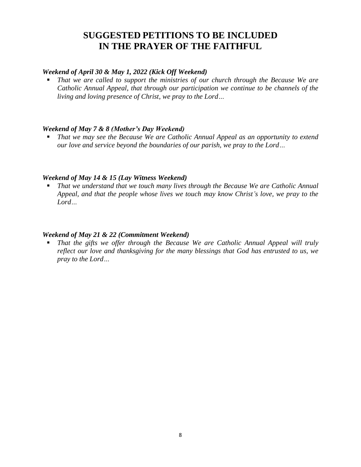# **SUGGESTED PETITIONS TO BE INCLUDED IN THE PRAYER OF THE FAITHFUL**

#### *Weekend of April 30 & May 1, 2022 (Kick Off Weekend)*

That we are called to support the ministries of our church through the Because We are *Catholic Annual Appeal, that through our participation we continue to be channels of the living and loving presence of Christ, we pray to the Lord…*

#### *Weekend of May 7 & 8 (Mother's Day Weekend)*

That we may see the Because We are Catholic Annual Appeal as an opportunity to extend *our love and service beyond the boundaries of our parish, we pray to the Lord…*

#### *Weekend of May 14 & 15 (Lay Witness Weekend)*

That we understand that we touch many lives through the Because We are Catholic Annual *Appeal, and that the people whose lives we touch may know Christ's love, we pray to the Lord…*

#### *Weekend of May 21 & 22 (Commitment Weekend)*

That the gifts we offer through the Because We are Catholic Annual Appeal will truly *reflect our love and thanksgiving for the many blessings that God has entrusted to us, we pray to the Lord…*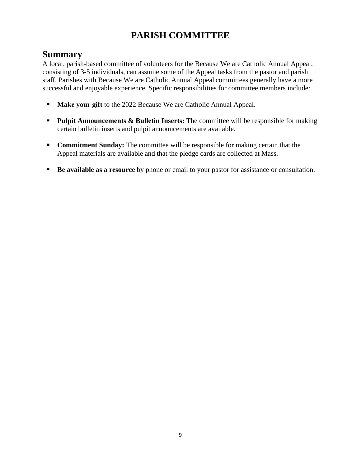# **PARISH COMMITTEE**

## **Summary**

A local, parish-based committee of volunteers for the Because We are Catholic Annual Appeal, consisting of 3-5 individuals, can assume some of the Appeal tasks from the pastor and parish staff. Parishes with Because We are Catholic Annual Appeal committees generally have a more successful and enjoyable experience. Specific responsibilities for committee members include:

- **Make your gift** to the 2022 Because We are Catholic Annual Appeal.
- **Pulpit Announcements & Bulletin Inserts:** The committee will be responsible for making certain bulletin inserts and pulpit announcements are available.
- **Commitment Sunday:** The committee will be responsible for making certain that the Appeal materials are available and that the pledge cards are collected at Mass.
- **Be available as a resource** by phone or email to your pastor for assistance or consultation.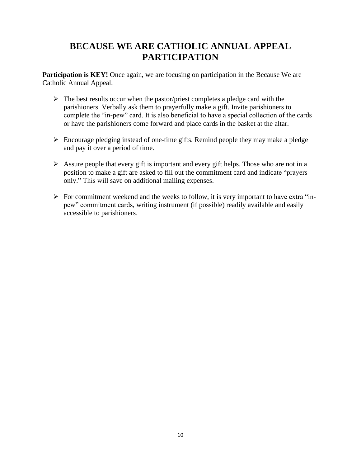## **BECAUSE WE ARE CATHOLIC ANNUAL APPEAL PARTICIPATION**

**Participation is KEY!** Once again, we are focusing on participation in the Because We are Catholic Annual Appeal.

- $\triangleright$  The best results occur when the pastor/priest completes a pledge card with the parishioners. Verbally ask them to prayerfully make a gift. Invite parishioners to complete the "in-pew" card. It is also beneficial to have a special collection of the cards or have the parishioners come forward and place cards in the basket at the altar.
- ➢ Encourage pledging instead of one-time gifts. Remind people they may make a pledge and pay it over a period of time.
- ➢ Assure people that every gift is important and every gift helps. Those who are not in a position to make a gift are asked to fill out the commitment card and indicate "prayers only." This will save on additional mailing expenses.
- $\triangleright$  For commitment weekend and the weeks to follow, it is very important to have extra "inpew" commitment cards, writing instrument (if possible) readily available and easily accessible to parishioners.